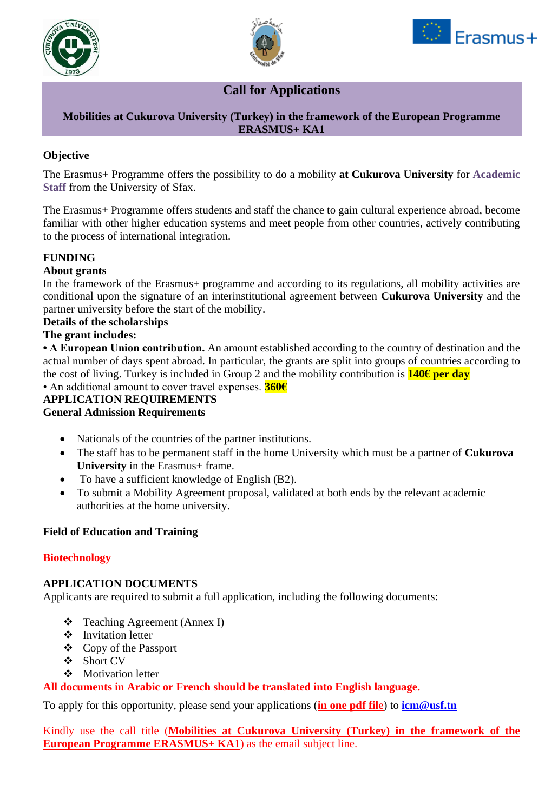





# **Call for Applications**

#### **Mobilities at Cukurova University (Turkey) in the framework of the European Programme ERASMUS+ KA1**

## **Objective**

The Erasmus+ Programme offers the possibility to do a mobility **at Cukurova University** for **Academic Staff** from the University of Sfax.

The Erasmus+ Programme offers students and staff the chance to gain cultural experience abroad, become familiar with other higher education systems and meet people from other countries, actively contributing to the process of international integration.

## **FUNDING**

## **About grants**

In the framework of the Erasmus+ programme and according to its regulations, all mobility activities are conditional upon the signature of an interinstitutional agreement between **Cukurova University** and the partner university before the start of the mobility.

#### **Details of the scholarships**

#### **The grant includes:**

**• A European Union contribution.** An amount established according to the country of destination and the actual number of days spent abroad. In particular, the grants are split into groups of countries according to the cost of living. Turkey is included in Group 2 and the mobility contribution is **140€ per day** 

#### • An additional amount to cover travel expenses. **360€**

# **APPLICATION REQUIREMENTS**

## **General Admission Requirements**

- Nationals of the countries of the partner institutions.
- The staff has to be permanent staff in the home University which must be a partner of **Cukurova University** in the Erasmus+ frame.
- To have a sufficient knowledge of English (B2).
- To submit a Mobility Agreement proposal, validated at both ends by the relevant academic authorities at the home university.

## **Field of Education and Training**

## **Biotechnology**

#### **APPLICATION DOCUMENTS**

Applicants are required to submit a full application, including the following documents:

- ❖ Teaching Agreement (Annex I)
- ❖ Invitation letter
- ❖ Copy of the Passport
- ❖ Short CV
- ❖ Motivation letter

## **All documents in Arabic or French should be translated into English language.**

To apply for this opportunity, please send your applications (**in one pdf file**) to **[icm@usf.tn](mailto:icm@usf.tn)**

Kindly use the call title (**Mobilities at Cukurova University (Turkey) in the framework of the European Programme ERASMUS+ KA1**) as the email subject line.